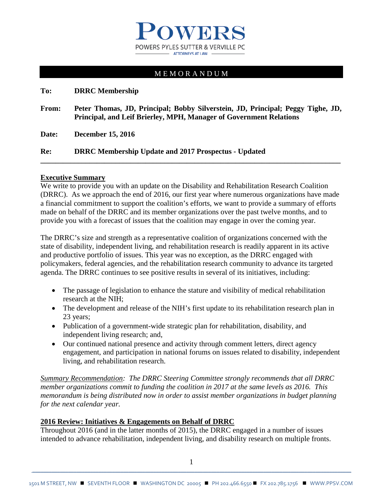

# M E M O R A N D U M

**To: DRRC Membership**

**From: Peter Thomas, JD, Principal; Bobby Silverstein, JD, Principal; Peggy Tighe, JD, Principal, and Leif Brierley, MPH, Manager of Government Relations**

**Date: December 15, 2016**

**Re: DRRC Membership Update and 2017 Prospectus - Updated**

#### **Executive Summary**

We write to provide you with an update on the Disability and Rehabilitation Research Coalition (DRRC). As we approach the end of 2016, our first year where numerous organizations have made a financial commitment to support the coalition's efforts, we want to provide a summary of efforts made on behalf of the DRRC and its member organizations over the past twelve months, and to provide you with a forecast of issues that the coalition may engage in over the coming year.

**\_\_\_\_\_\_\_\_\_\_\_\_\_\_\_\_\_\_\_\_\_\_\_\_\_\_\_\_\_\_\_\_\_\_\_\_\_\_\_\_\_\_\_\_\_\_\_\_\_\_\_\_\_\_\_\_\_\_\_\_\_\_\_\_\_\_\_\_\_\_\_\_\_\_\_\_\_\_\_\_**

The DRRC's size and strength as a representative coalition of organizations concerned with the state of disability, independent living, and rehabilitation research is readily apparent in its active and productive portfolio of issues. This year was no exception, as the DRRC engaged with policymakers, federal agencies, and the rehabilitation research community to advance its targeted agenda. The DRRC continues to see positive results in several of its initiatives, including:

- The passage of legislation to enhance the stature and visibility of medical rehabilitation research at the NIH;
- The development and release of the NIH's first update to its rehabilitation research plan in 23 years;
- Publication of a government-wide strategic plan for rehabilitation, disability, and independent living research; and,
- Our continued national presence and activity through comment letters, direct agency engagement, and participation in national forums on issues related to disability, independent living, and rehabilitation research.

*Summary Recommendation: The DRRC Steering Committee strongly recommends that all DRRC member organizations commit to funding the coalition in 2017 at the same levels as 2016. This memorandum is being distributed now in order to assist member organizations in budget planning for the next calendar year.* 

#### **2016 Review: Initiatives & Engagements on Behalf of DRRC**

Throughout 2016 (and in the latter months of 2015), the DRRC engaged in a number of issues intended to advance rehabilitation, independent living, and disability research on multiple fronts.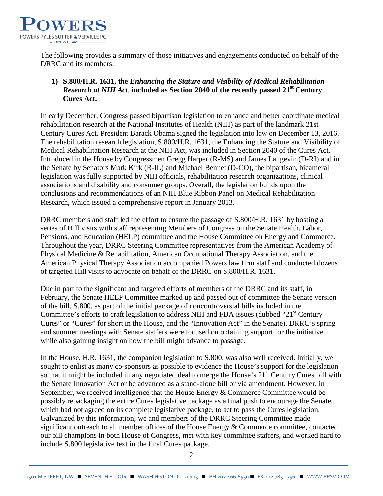

The following provides a summary of those initiatives and engagements conducted on behalf of the DRRC and its members.

# **1) S.800/H.R. 1631, the** *Enhancing the Stature and Visibility of Medical Rehabilitation Research at NIH Act*, **included as Section 2040 of the recently passed 21st Century Cures Act.**

In early December, Congress passed bipartisan legislation to enhance and better coordinate medical rehabilitation research at the National Institutes of Health (NIH) as part of the landmark 21st Century Cures Act. President Barack Obama signed the legislation into law on December 13, 2016. The rehabilitation research legislation, S.800/H.R. 1631, the Enhancing the Stature and Visibility of Medical Rehabilitation Research at the NIH Act, was included in Section 2040 of the Cures Act. Introduced in the House by Congressmen Gregg Harper (R-MS) and James Langevin (D-RI) and in the Senate by Senators Mark Kirk (R-IL) and Michael Bennet (D-CO), the bipartisan, bicameral legislation was fully supported by NIH officials, rehabilitation research organizations, clinical associations and disability and consumer groups. Overall, the legislation builds upon the conclusions and recommendations of an NIH Blue Ribbon Panel on Medical Rehabilitation Research, which issued a comprehensive report in January 2013.

DRRC members and staff led the effort to ensure the passage of S.800/H.R. 1631 by hosting a series of Hill visits with staff representing Members of Congress on the Senate Health, Labor, Pensions, and Education (HELP) committee and the House Committee on Energy and Commerce. Throughout the year, DRRC Steering Committee representatives from the American Academy of Physical Medicine & Rehabilitation, American Occupational Therapy Association, and the American Physical Therapy Association accompanied Powers law firm staff and conducted dozens of targeted Hill visits to advocate on behalf of the DRRC on S.800/H.R. 1631.

Due in part to the significant and targeted efforts of members of the DRRC and its staff, in February, the Senate HELP Committee marked up and passed out of committee the Senate version of the bill, S.800, as part of the initial package of noncontroversial bills included in the Committee's efforts to craft legislation to address NIH and FDA issues (dubbed " $21<sup>st</sup>$  Century Cures" or "Cures" for short in the House, and the "Innovation Act" in the Senate). DRRC's spring and summer meetings with Senate staffers were focused on obtaining support for the initiative while also gaining insight on how the bill might advance to passage.

In the House, H.R. 1631, the companion legislation to S.800, was also well received. Initially, we sought to enlist as many co-sponsors as possible to evidence the House's support for the legislation so that it might be included in any negotiated deal to merge the House's  $21<sup>st</sup>$  Century Cures bill with the Senate Innovation Act or be advanced as a stand-alone bill or via amendment. However, in September, we received intelligence that the House Energy & Commerce Committee would be possibly repackaging the entire Cures legislative package as a final push to encourage the Senate, which had not agreed on its complete legislative package, to act to pass the Cures legislation. Galvanized by this information, we and members of the DRRC Steering Committee made significant outreach to all member offices of the House Energy & Commerce committee, contacted our bill champions in both House of Congress, met with key committee staffers, and worked hard to include S.800 legislative text in the final Cures package.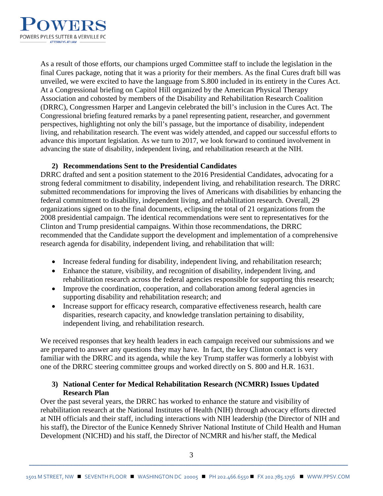

As a result of those efforts, our champions urged Committee staff to include the legislation in the final Cures package, noting that it was a priority for their members. As the final Cures draft bill was unveiled, we were excited to have the language from S.800 included in its entirety in the Cures Act. At a Congressional briefing on Capitol Hill organized by the American Physical Therapy Association and cohosted by members of the Disability and Rehabilitation Research Coalition (DRRC), Congressmen Harper and Langevin celebrated the bill's inclusion in the Cures Act. The Congressional briefing featured remarks by a panel representing patient, researcher, and government perspectives, highlighting not only the bill's passage, but the importance of disability, independent living, and rehabilitation research. The event was widely attended, and capped our successful efforts to advance this important legislation. As we turn to 2017, we look forward to continued involvement in advancing the state of disability, independent living, and rehabilitation research at the NIH.

#### **2) Recommendations Sent to the Presidential Candidates**

DRRC drafted and sent a position statement to the 2016 Presidential Candidates, advocating for a strong federal commitment to disability, independent living, and rehabilitation research. The DRRC submitted recommendations for improving the lives of Americans with disabilities by enhancing the federal commitment to disability, independent living, and rehabilitation research. Overall, 29 organizations signed on to the final documents, eclipsing the total of 21 organizations from the 2008 presidential campaign. The identical recommendations were sent to representatives for the Clinton and Trump presidential campaigns. Within those recommendations, the DRRC recommended that the Candidate support the development and implementation of a comprehensive research agenda for disability, independent living, and rehabilitation that will:

- Increase federal funding for disability, independent living, and rehabilitation research;
- Enhance the stature, visibility, and recognition of disability, independent living, and rehabilitation research across the federal agencies responsible for supporting this research;
- Improve the coordination, cooperation, and collaboration among federal agencies in supporting disability and rehabilitation research; and
- Increase support for efficacy research, comparative effectiveness research, health care disparities, research capacity, and knowledge translation pertaining to disability, independent living, and rehabilitation research.

We received responses that key health leaders in each campaign received our submissions and we are prepared to answer any questions they may have. In fact, the key Clinton contact is very familiar with the DRRC and its agenda, while the key Trump staffer was formerly a lobbyist with one of the DRRC steering committee groups and worked directly on S. 800 and H.R. 1631.

## **3) National Center for Medical Rehabilitation Research (NCMRR) Issues Updated Research Plan**

Over the past several years, the DRRC has worked to enhance the stature and visibility of rehabilitation research at the National Institutes of Health (NIH) through advocacy efforts directed at NIH officials and their staff, including interactions with NIH leadership (the Director of NIH and his staff), the Director of the Eunice Kennedy Shriver National Institute of Child Health and Human Development (NICHD) and his staff, the Director of NCMRR and his/her staff, the Medical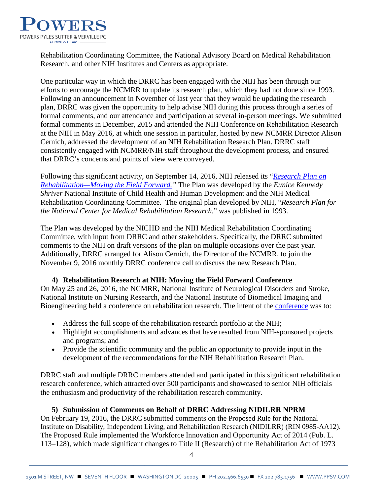

Rehabilitation Coordinating Committee, the National Advisory Board on Medical Rehabilitation Research, and other NIH Institutes and Centers as appropriate.

One particular way in which the DRRC has been engaged with the NIH has been through our efforts to encourage the NCMRR to update its research plan, which they had not done since 1993. Following an announcement in November of last year that they would be updating the research plan, DRRC was given the opportunity to help advise NIH during this process through a series of formal comments, and our attendance and participation at several in-person meetings. We submitted formal comments in December, 2015 and attended the NIH Conference on Rehabilitation Research at the NIH in May 2016, at which one session in particular, hosted by new NCMRR Director Alison Cernich, addressed the development of an NIH Rehabilitation Research Plan. DRRC staff consistently engaged with NCMRR/NIH staff throughout the development process, and ensured that DRRC's concerns and points of view were conveyed.

Following this significant activity, on September 14, 2016, NIH released its "*[Research Plan on](https://www.nichd.nih.gov/publications/pubs/Documents/NIH_ResearchPlan_Rehabilitation.pdf)  [Rehabilitation—Moving the Field](https://www.nichd.nih.gov/publications/pubs/Documents/NIH_ResearchPlan_Rehabilitation.pdf) Forward."* The Plan was developed by the *Eunice Kennedy Shriver* National Institute of Child Health and Human Development and the NIH Medical Rehabilitation Coordinating Committee. The original plan developed by NIH, "*Research Plan for the National Center for Medical Rehabilitation Research,*" was published in 1993.

The Plan was developed by the NICHD and the NIH Medical Rehabilitation Coordinating Committee, with input from DRRC and other stakeholders. Specifically, the DRRC submitted comments to the NIH on draft versions of the plan on multiple occasions over the past year. Additionally, DRRC arranged for Alison Cernich, the Director of the NCMRR, to join the November 9, 2016 monthly DRRC conference call to discuss the new Research Plan.

# **4) Rehabilitation Research at NIH: Moving the Field Forward Conference**

On May 25 and 26, 2016, the NCMRR, National Institute of Neurological Disorders and Stroke, National Institute on Nursing Research, and the National Institute of Biomedical Imaging and Bioengineering held a [conference](https://www.nichd.nih.gov/about/meetings/2016/Pages/052516.aspx) on rehabilitation research. The intent of the conference was to:

- Address the full scope of the rehabilitation research portfolio at the NIH;
- Highlight accomplishments and advances that have resulted from NIH-sponsored projects and programs; and
- Provide the scientific community and the public an opportunity to provide input in the development of the recommendations for the NIH Rehabilitation Research Plan.

DRRC staff and multiple DRRC members attended and participated in this significant rehabilitation research conference, which attracted over 500 participants and showcased to senior NIH officials the enthusiasm and productivity of the rehabilitation research community.

#### **5) Submission of Comments on Behalf of DRRC Addressing NIDILRR NPRM**

On February 19, 2016, the DRRC submitted comments on the Proposed Rule for the National Institute on Disability, Independent Living, and Rehabilitation Research (NIDILRR) (RIN 0985-AA12). The Proposed Rule implemented the Workforce Innovation and Opportunity Act of 2014 (Pub. L. 113–128), which made significant changes to Title II (Research) of the Rehabilitation Act of 1973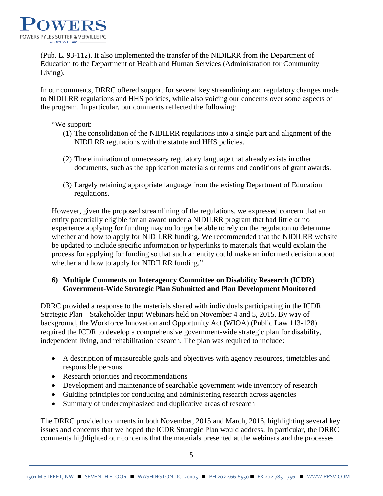

(Pub. L. 93-112). It also implemented the transfer of the NIDILRR from the Department of Education to the Department of Health and Human Services (Administration for Community Living).

In our comments, DRRC offered support for several key streamlining and regulatory changes made to NIDILRR regulations and HHS policies, while also voicing our concerns over some aspects of the program. In particular, our comments reflected the following:

#### "We support:

- (1) The consolidation of the NIDILRR regulations into a single part and alignment of the NIDILRR regulations with the statute and HHS policies.
- (2) The elimination of unnecessary regulatory language that already exists in other documents, such as the application materials or terms and conditions of grant awards.
- (3) Largely retaining appropriate language from the existing Department of Education regulations.

However, given the proposed streamlining of the regulations, we expressed concern that an entity potentially eligible for an award under a NIDILRR program that had little or no experience applying for funding may no longer be able to rely on the regulation to determine whether and how to apply for NIDILRR funding. We recommended that the NIDILRR website be updated to include specific information or hyperlinks to materials that would explain the process for applying for funding so that such an entity could make an informed decision about whether and how to apply for NIDILRR funding."

#### **6) Multiple Comments on Interagency Committee on Disability Research (ICDR) Government-Wide Strategic Plan Submitted and Plan Development Monitored**

DRRC provided a response to the materials shared with individuals participating in the ICDR Strategic Plan—Stakeholder Input Webinars held on November 4 and 5, 2015. By way of background, the Workforce Innovation and Opportunity Act (WIOA) (Public Law 113-128) required the ICDR to develop a comprehensive government-wide strategic plan for disability, independent living, and rehabilitation research. The plan was required to include:

- A description of measureable goals and objectives with agency resources, timetables and responsible persons
- Research priorities and recommendations
- Development and maintenance of searchable government wide inventory of research
- Guiding principles for conducting and administering research across agencies
- Summary of underemphasized and duplicative areas of research

The DRRC provided comments in both November, 2015 and March, 2016, highlighting several key issues and concerns that we hoped the ICDR Strategic Plan would address. In particular, the DRRC comments highlighted our concerns that the materials presented at the webinars and the processes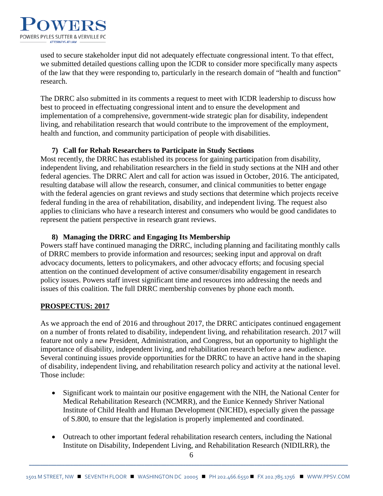

used to secure stakeholder input did not adequately effectuate congressional intent. To that effect, we submitted detailed questions calling upon the ICDR to consider more specifically many aspects of the law that they were responding to, particularly in the research domain of "health and function" research.

The DRRC also submitted in its comments a request to meet with ICDR leadership to discuss how best to proceed in effectuating congressional intent and to ensure the development and implementation of a comprehensive, government-wide strategic plan for disability, independent living, and rehabilitation research that would contribute to the improvement of the employment, health and function, and community participation of people with disabilities.

## **7) Call for Rehab Researchers to Participate in Study Sections**

Most recently, the DRRC has established its process for gaining participation from disability, independent living, and rehabilitation researchers in the field in study sections at the NIH and other federal agencies. The DRRC Alert and call for action was issued in October, 2016. The anticipated, resulting database will allow the research, consumer, and clinical communities to better engage with the federal agencies on grant reviews and study sections that determine which projects receive federal funding in the area of rehabilitation, disability, and independent living. The request also applies to clinicians who have a research interest and consumers who would be good candidates to represent the patient perspective in research grant reviews.

## **8) Managing the DRRC and Engaging Its Membership**

Powers staff have continued managing the DRRC, including planning and facilitating monthly calls of DRRC members to provide information and resources; seeking input and approval on draft advocacy documents, letters to policymakers, and other advocacy efforts; and focusing special attention on the continued development of active consumer/disability engagement in research policy issues. Powers staff invest significant time and resources into addressing the needs and issues of this coalition. The full DRRC membership convenes by phone each month.

# **PROSPECTUS: 2017**

As we approach the end of 2016 and throughout 2017, the DRRC anticipates continued engagement on a number of fronts related to disability, independent living, and rehabilitation research. 2017 will feature not only a new President, Administration, and Congress, but an opportunity to highlight the importance of disability, independent living, and rehabilitation research before a new audience. Several continuing issues provide opportunities for the DRRC to have an active hand in the shaping of disability, independent living, and rehabilitation research policy and activity at the national level. Those include:

- Significant work to maintain our positive engagement with the NIH, the National Center for Medical Rehabilitation Research (NCMRR), and the Eunice Kennedy Shriver National Institute of Child Health and Human Development (NICHD), especially given the passage of S.800, to ensure that the legislation is properly implemented and coordinated.
- Outreach to other important federal rehabilitation research centers, including the National Institute on Disability, Independent Living, and Rehabilitation Research (NIDILRR), the